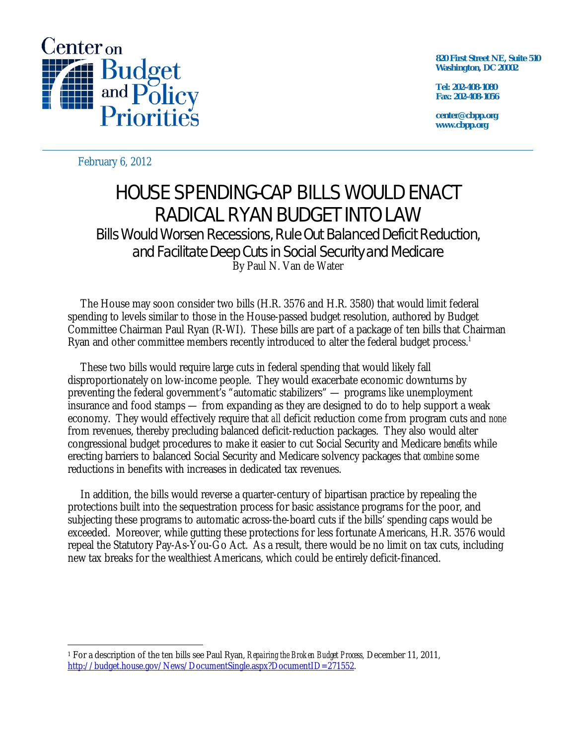

**820 First Street NE, Suite 510 Washington, DC 20002** 

**Tel: 202-408-1080 Fax: 202-408-1056** 

**center@cbpp.org www.cbpp.org** 

February 6, 2012

## HOUSE SPENDING-CAP BILLS WOULD ENACT RADICAL RYAN BUDGET INTO LAW Bills Would Worsen Recessions, Rule Out Balanced Deficit Reduction, and Facilitate Deep Cuts in Social Security and Medicare

By Paul N. Van de Water

The House may soon consider two bills (H.R. 3576 and H.R. 3580) that would limit federal spending to levels similar to those in the House-passed budget resolution, authored by Budget Committee Chairman Paul Ryan (R-WI). These bills are part of a package of ten bills that Chairman Ryan and other committee members recently introduced to alter the federal budget process.<sup>1</sup>

These two bills would require large cuts in federal spending that would likely fall disproportionately on low-income people. They would exacerbate economic downturns by preventing the federal government's "automatic stabilizers" — programs like unemployment insurance and food stamps — from expanding as they are designed to do to help support a weak economy. They would effectively require that *all* deficit reduction come from program cuts and *none* from revenues, thereby precluding balanced deficit-reduction packages. They also would alter congressional budget procedures to make it easier to cut Social Security and Medicare *benefits* while erecting barriers to balanced Social Security and Medicare solvency packages that *combine* some reductions in benefits with increases in dedicated tax revenues.

In addition, the bills would reverse a quarter-century of bipartisan practice by repealing the protections built into the sequestration process for basic assistance programs for the poor, and subjecting these programs to automatic across-the-board cuts if the bills' spending caps would be exceeded. Moreover, while gutting these protections for less fortunate Americans, H.R. 3576 would repeal the Statutory Pay-As-You-Go Act. As a result, there would be no limit on tax cuts, including new tax breaks for the wealthiest Americans, which could be entirely deficit-financed.

<sup>-</sup>1 For a description of the ten bills see Paul Ryan, *Repairing the Broken Budget Process,* December 11, 2011, http://budget.house.gov/News/DocumentSingle.aspx?DocumentID=271552.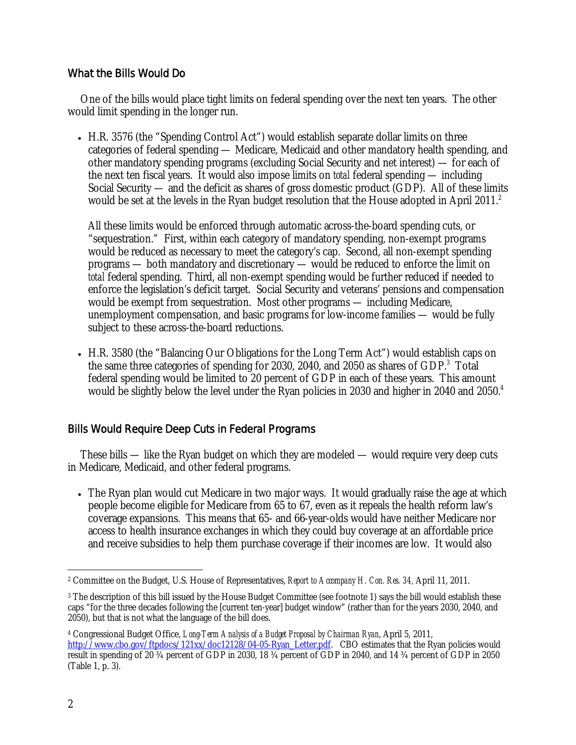## What the Bills Would Do

One of the bills would place tight limits on federal spending over the next ten years. The other would limit spending in the longer run.

 H.R. 3576 (the "Spending Control Act") would establish separate dollar limits on three categories of federal spending — Medicare, Medicaid and other mandatory health spending, and other mandatory spending programs (excluding Social Security and net interest) — for each of the next ten fiscal years. It would also impose limits on *total* federal spending — including Social Security — and the deficit as shares of gross domestic product (GDP). All of these limits would be set at the levels in the Ryan budget resolution that the House adopted in April 2011. $^2$ 

All these limits would be enforced through automatic across-the-board spending cuts, or "sequestration." First, within each category of mandatory spending, non-exempt programs would be reduced as necessary to meet the category's cap. Second, all non-exempt spending programs — both mandatory and discretionary — would be reduced to enforce the limit on *total* federal spending. Third, all non-exempt spending would be further reduced if needed to enforce the legislation's deficit target. Social Security and veterans' pensions and compensation would be exempt from sequestration. Most other programs — including Medicare, unemployment compensation, and basic programs for low-income families — would be fully subject to these across-the-board reductions.

 H.R. 3580 (the "Balancing Our Obligations for the Long Term Act") would establish caps on the same three categories of spending for 2030, 2040, and 2050 as shares of GDP.<sup>3</sup> Total federal spending would be limited to 20 percent of GDP in each of these years. This amount would be slightly below the level under the Ryan policies in 2030 and higher in 2040 and 2050.<sup>4</sup>

## Bills Would Require Deep Cuts in Federal Programs

These bills — like the Ryan budget on which they are modeled — would require very deep cuts in Medicare, Medicaid, and other federal programs.

• The Ryan plan would cut Medicare in two major ways. It would gradually raise the age at which people become eligible for Medicare from 65 to 67, even as it repeals the health reform law's coverage expansions. This means that 65- and 66-year-olds would have neither Medicare nor access to health insurance exchanges in which they could buy coverage at an affordable price and receive subsidies to help them purchase coverage if their incomes are low. It would also

 $\overline{a}$ 2 Committee on the Budget, U.S. House of Representatives, *Report to Accompany H. Con. Res. 34,* April 11, 2011.

<sup>&</sup>lt;sup>3</sup> The description of this bill issued by the House Budget Committee (see footnote 1) says the bill would establish these caps "for the three decades following the [current ten-year] budget window" (rather than for the years 2030, 2040, and 2050), but that is not what the language of the bill does.

<sup>4</sup> Congressional Budget Office, *Long-Term Analysis of a Budget Proposal by Chairman Ryan*, April 5, 2011, http://www.cbo.gov/ftpdocs/121xx/doc12128/04-05-Ryan\_Letter.pdf. CBO estimates that the Ryan policies would result in spending of 20 ¾ percent of GDP in 2030, 18 ¾ percent of GDP in 2040, and 14 ¾ percent of GDP in 2050 (Table 1, p. 3).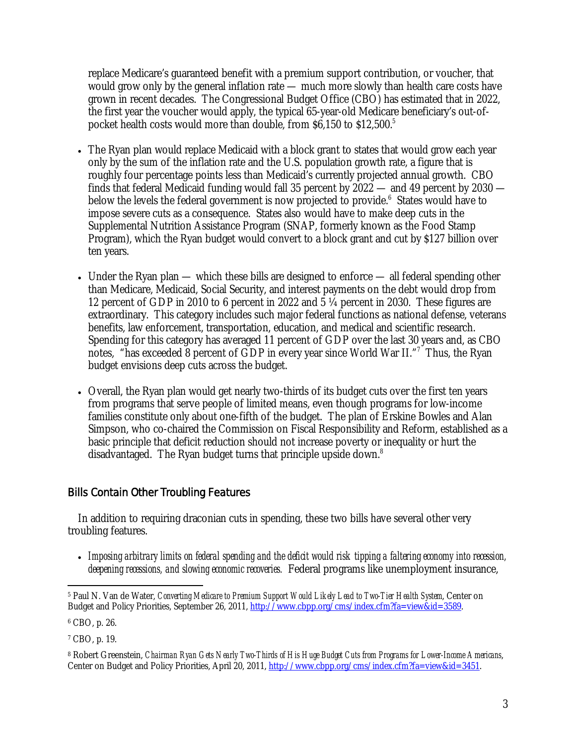replace Medicare's guaranteed benefit with a premium support contribution, or voucher, that would grow only by the general inflation rate — much more slowly than health care costs have grown in recent decades. The Congressional Budget Office (CBO) has estimated that in 2022, the first year the voucher would apply, the typical 65-year-old Medicare beneficiary's out-ofpocket health costs would more than double, from \$6,150 to \$12,500.<sup>5</sup>

- The Ryan plan would replace Medicaid with a block grant to states that would grow each year only by the sum of the inflation rate and the U.S. population growth rate, a figure that is roughly four percentage points less than Medicaid's currently projected annual growth. CBO finds that federal Medicaid funding would fall 35 percent by 2022 — and 49 percent by 2030 below the levels the federal government is now projected to provide.<sup>6</sup> States would have to impose severe cuts as a consequence. States also would have to make deep cuts in the Supplemental Nutrition Assistance Program (SNAP, formerly known as the Food Stamp Program), which the Ryan budget would convert to a block grant and cut by \$127 billion over ten years.
- Under the Ryan plan which these bills are designed to enforce all federal spending other than Medicare, Medicaid, Social Security, and interest payments on the debt would drop from 12 percent of GDP in 2010 to 6 percent in 2022 and 5 ¼ percent in 2030. These figures are extraordinary. This category includes such major federal functions as national defense, veterans benefits, law enforcement, transportation, education, and medical and scientific research. Spending for this category has averaged 11 percent of GDP over the last 30 years and, as CBO notes, "has exceeded 8 percent of GDP in every year since World War II."7 Thus, the Ryan budget envisions deep cuts across the budget.
- Overall, the Ryan plan would get nearly two-thirds of its budget cuts over the first ten years from programs that serve people of limited means, even though programs for low-income families constitute only about one-fifth of the budget. The plan of Erskine Bowles and Alan Simpson, who co-chaired the Commission on Fiscal Responsibility and Reform, established as a basic principle that deficit reduction should not increase poverty or inequality or hurt the disadvantaged. The Ryan budget turns that principle upside down.<sup>8</sup>

## Bills Contain Other Troubling Features

In addition to requiring draconian cuts in spending, these two bills have several other very troubling features.

 *Imposing arbitrary limits on federal spending and the deficit would risk tipping a faltering economy into recession, deepening recessions, and slowing economic recoveries.* Federal programs like unemployment insurance,

 $\overline{a}$ 5 Paul N. Van de Water, *Converting Medicare to Premium Support Would Likely Lead to Two-Tier Health System*, Center on Budget and Policy Priorities, September 26, 2011, http://www.cbpp.org/cms/index.cfm?fa=view&id=3589.

<sup>6</sup> CBO, p. 26.

<sup>7</sup> CBO, p. 19.

<sup>8</sup> Robert Greenstein, *Chairman Ryan Gets Nearly Two-Thirds of His Huge Budget Cuts from Programs for Lower-Income Americans*, Center on Budget and Policy Priorities, April 20, 2011, http://www.cbpp.org/cms/index.cfm?fa=view&id=3451.